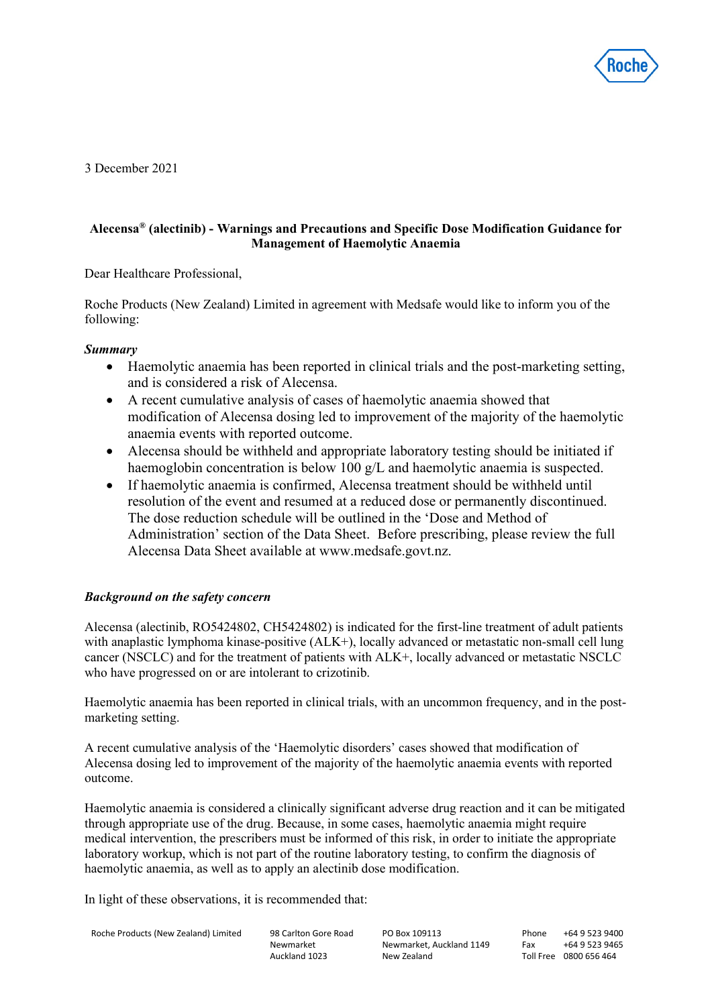

3 December 2021

# **Alecensa® (alectinib) - Warnings and Precautions and Specific Dose Modification Guidance for Management of Haemolytic Anaemia**

Dear Healthcare Professional,

Roche Products (New Zealand) Limited in agreement with Medsafe would like to inform you of the following:

# *Summary*

- Haemolytic anaemia has been reported in clinical trials and the post-marketing setting, and is considered a risk of Alecensa.
- A recent cumulative analysis of cases of haemolytic anaemia showed that modification of Alecensa dosing led to improvement of the majority of the haemolytic anaemia events with reported outcome.
- Alecensa should be withheld and appropriate laboratory testing should be initiated if haemoglobin concentration is below 100 g/L and haemolytic anaemia is suspected.
- If haemolytic anaemia is confirmed, Alecensa treatment should be withheld until resolution of the event and resumed at a reduced dose or permanently discontinued. The dose reduction schedule will be outlined in the 'Dose and Method of Administration' section of the Data Sheet. Before prescribing, please review the full Alecensa Data Sheet available at www.medsafe.govt.nz.

# *Background on the safety concern*

Alecensa (alectinib, RO5424802, CH5424802) is indicated for the first-line treatment of adult patients with anaplastic lymphoma kinase-positive (ALK+), locally advanced or metastatic non-small cell lung cancer (NSCLC) and for the treatment of patients with ALK+, locally advanced or metastatic NSCLC who have progressed on or are intolerant to crizotinib.

Haemolytic anaemia has been reported in clinical trials, with an uncommon frequency, and in the postmarketing setting.

A recent cumulative analysis of the 'Haemolytic disorders' cases showed that modification of Alecensa dosing led to improvement of the majority of the haemolytic anaemia events with reported outcome.

Haemolytic anaemia is considered a clinically significant adverse drug reaction and it can be mitigated through appropriate use of the drug. Because, in some cases, haemolytic anaemia might require medical intervention, the prescribers must be informed of this risk, in order to initiate the appropriate laboratory workup, which is not part of the routine laboratory testing, to confirm the diagnosis of haemolytic anaemia, as well as to apply an alectinib dose modification.

In light of these observations, it is recommended that:

```
Roche Products (New Zealand) Limited 98 Carlton Gore Road
```
Newmarket Auckland 1023

PO Box 109113 Newmarket, Auckland 1149 New Zealand

Phone +64 9 523 9400 Fax +64 9 523 9465 Toll Free 0800 656 464